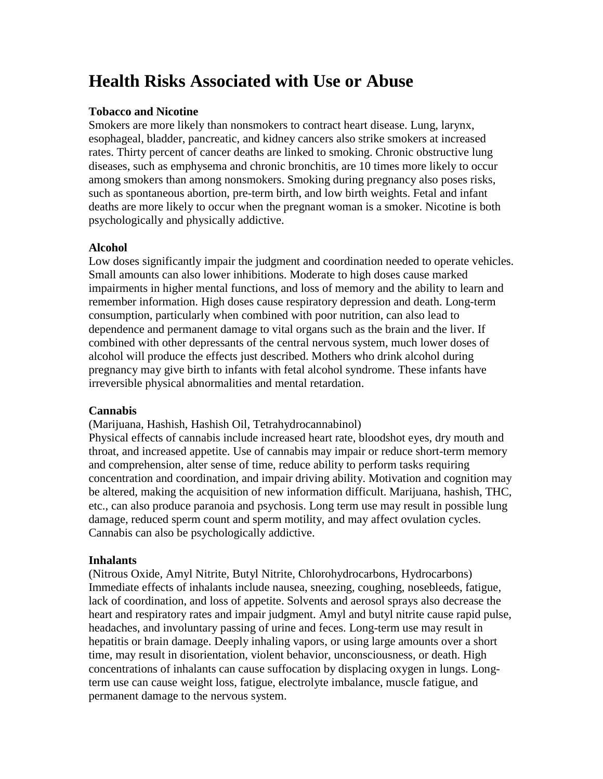# **Health Risks Associated with Use or Abuse**

## **Tobacco and Nicotine**

Smokers are more likely than nonsmokers to contract heart disease. Lung, larynx, esophageal, bladder, pancreatic, and kidney cancers also strike smokers at increased rates. Thirty percent of cancer deaths are linked to smoking. Chronic obstructive lung diseases, such as emphysema and chronic bronchitis, are 10 times more likely to occur among smokers than among nonsmokers. Smoking during pregnancy also poses risks, such as spontaneous abortion, pre-term birth, and low birth weights. Fetal and infant deaths are more likely to occur when the pregnant woman is a smoker. Nicotine is both psychologically and physically addictive.

## **Alcohol**

Low doses significantly impair the judgment and coordination needed to operate vehicles. Small amounts can also lower inhibitions. Moderate to high doses cause marked impairments in higher mental functions, and loss of memory and the ability to learn and remember information. High doses cause respiratory depression and death. Long-term consumption, particularly when combined with poor nutrition, can also lead to dependence and permanent damage to vital organs such as the brain and the liver. If combined with other depressants of the central nervous system, much lower doses of alcohol will produce the effects just described. Mothers who drink alcohol during pregnancy may give birth to infants with fetal alcohol syndrome. These infants have irreversible physical abnormalities and mental retardation.

## **Cannabis**

(Marijuana, Hashish, Hashish Oil, Tetrahydrocannabinol)

Physical effects of cannabis include increased heart rate, bloodshot eyes, dry mouth and throat, and increased appetite. Use of cannabis may impair or reduce short-term memory and comprehension, alter sense of time, reduce ability to perform tasks requiring concentration and coordination, and impair driving ability. Motivation and cognition may be altered, making the acquisition of new information difficult. Marijuana, hashish, THC, etc., can also produce paranoia and psychosis. Long term use may result in possible lung damage, reduced sperm count and sperm motility, and may affect ovulation cycles. Cannabis can also be psychologically addictive.

## **Inhalants**

(Nitrous Oxide, Amyl Nitrite, Butyl Nitrite, Chlorohydrocarbons, Hydrocarbons) Immediate effects of inhalants include nausea, sneezing, coughing, nosebleeds, fatigue, lack of coordination, and loss of appetite. Solvents and aerosol sprays also decrease the heart and respiratory rates and impair judgment. Amyl and butyl nitrite cause rapid pulse, headaches, and involuntary passing of urine and feces. Long-term use may result in hepatitis or brain damage. Deeply inhaling vapors, or using large amounts over a short time, may result in disorientation, violent behavior, unconsciousness, or death. High concentrations of inhalants can cause suffocation by displacing oxygen in lungs. Longterm use can cause weight loss, fatigue, electrolyte imbalance, muscle fatigue, and permanent damage to the nervous system.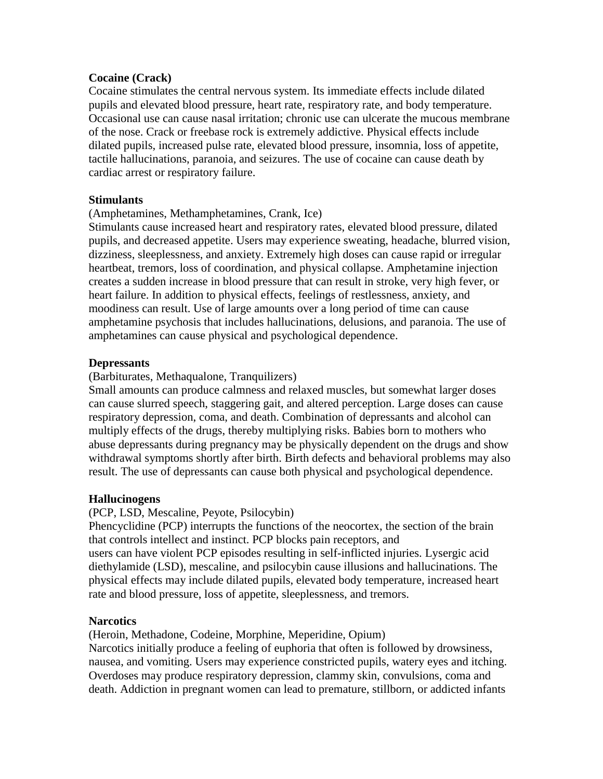## **Cocaine (Crack)**

Cocaine stimulates the central nervous system. Its immediate effects include dilated pupils and elevated blood pressure, heart rate, respiratory rate, and body temperature. Occasional use can cause nasal irritation; chronic use can ulcerate the mucous membrane of the nose. Crack or freebase rock is extremely addictive. Physical effects include dilated pupils, increased pulse rate, elevated blood pressure, insomnia, loss of appetite, tactile hallucinations, paranoia, and seizures. The use of cocaine can cause death by cardiac arrest or respiratory failure.

## **Stimulants**

(Amphetamines, Methamphetamines, Crank, Ice)

Stimulants cause increased heart and respiratory rates, elevated blood pressure, dilated pupils, and decreased appetite. Users may experience sweating, headache, blurred vision, dizziness, sleeplessness, and anxiety. Extremely high doses can cause rapid or irregular heartbeat, tremors, loss of coordination, and physical collapse. Amphetamine injection creates a sudden increase in blood pressure that can result in stroke, very high fever, or heart failure. In addition to physical effects, feelings of restlessness, anxiety, and moodiness can result. Use of large amounts over a long period of time can cause amphetamine psychosis that includes hallucinations, delusions, and paranoia. The use of amphetamines can cause physical and psychological dependence.

#### **Depressants**

## (Barbiturates, Methaqualone, Tranquilizers)

Small amounts can produce calmness and relaxed muscles, but somewhat larger doses can cause slurred speech, staggering gait, and altered perception. Large doses can cause respiratory depression, coma, and death. Combination of depressants and alcohol can multiply effects of the drugs, thereby multiplying risks. Babies born to mothers who abuse depressants during pregnancy may be physically dependent on the drugs and show withdrawal symptoms shortly after birth. Birth defects and behavioral problems may also result. The use of depressants can cause both physical and psychological dependence.

## **Hallucinogens**

(PCP, LSD, Mescaline, Peyote, Psilocybin)

Phencyclidine (PCP) interrupts the functions of the neocortex, the section of the brain that controls intellect and instinct. PCP blocks pain receptors, and users can have violent PCP episodes resulting in self-inflicted injuries. Lysergic acid diethylamide (LSD), mescaline, and psilocybin cause illusions and hallucinations. The physical effects may include dilated pupils, elevated body temperature, increased heart rate and blood pressure, loss of appetite, sleeplessness, and tremors.

#### **Narcotics**

(Heroin, Methadone, Codeine, Morphine, Meperidine, Opium)

Narcotics initially produce a feeling of euphoria that often is followed by drowsiness, nausea, and vomiting. Users may experience constricted pupils, watery eyes and itching. Overdoses may produce respiratory depression, clammy skin, convulsions, coma and death. Addiction in pregnant women can lead to premature, stillborn, or addicted infants